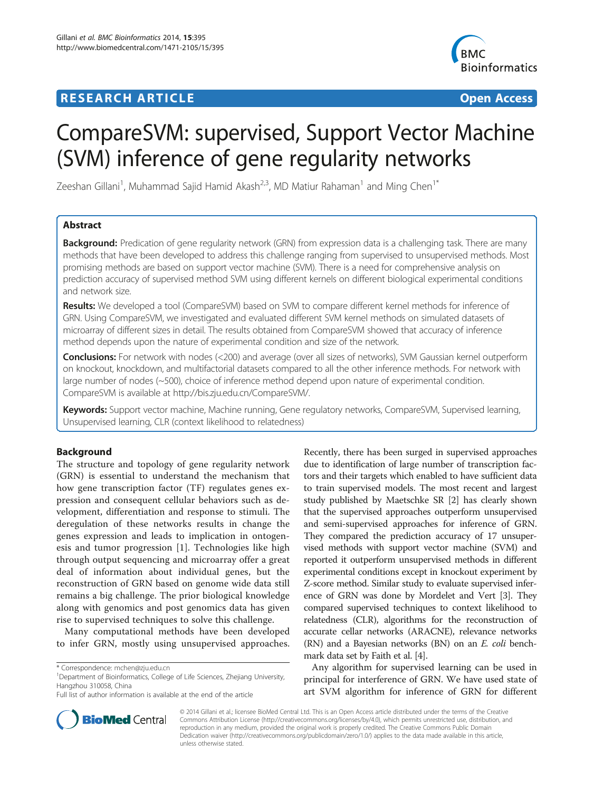# **RESEARCH ARTICLE Example 2018 12:00 Department of the CONNECTION CONNECTION CONNECTION CONNECTION**



# CompareSVM: supervised, Support Vector Machine (SVM) inference of gene regularity networks

Zeeshan Gillani<sup>1</sup>, Muhammad Sajid Hamid Akash<sup>2,3</sup>, MD Matiur Rahaman<sup>1</sup> and Ming Chen<sup>1\*</sup>

# Abstract

**Background:** Predication of gene regularity network (GRN) from expression data is a challenging task. There are many methods that have been developed to address this challenge ranging from supervised to unsupervised methods. Most promising methods are based on support vector machine (SVM). There is a need for comprehensive analysis on prediction accuracy of supervised method SVM using different kernels on different biological experimental conditions and network size.

Results: We developed a tool (CompareSVM) based on SVM to compare different kernel methods for inference of GRN. Using CompareSVM, we investigated and evaluated different SVM kernel methods on simulated datasets of microarray of different sizes in detail. The results obtained from CompareSVM showed that accuracy of inference method depends upon the nature of experimental condition and size of the network.

Conclusions: For network with nodes (<200) and average (over all sizes of networks), SVM Gaussian kernel outperform on knockout, knockdown, and multifactorial datasets compared to all the other inference methods. For network with large number of nodes (~500), choice of inference method depend upon nature of experimental condition. CompareSVM is available at<http://bis.zju.edu.cn/CompareSVM/>.

Keywords: Support vector machine, Machine running, Gene regulatory networks, CompareSVM, Supervised learning, Unsupervised learning, CLR (context likelihood to relatedness)

# Background

The structure and topology of gene regularity network (GRN) is essential to understand the mechanism that how gene transcription factor (TF) regulates genes expression and consequent cellular behaviors such as development, differentiation and response to stimuli. The deregulation of these networks results in change the genes expression and leads to implication in ontogenesis and tumor progression [[1](#page-6-0)]. Technologies like high through output sequencing and microarray offer a great deal of information about individual genes, but the reconstruction of GRN based on genome wide data still remains a big challenge. The prior biological knowledge along with genomics and post genomics data has given rise to supervised techniques to solve this challenge.

Many computational methods have been developed to infer GRN, mostly using unsupervised approaches.



Any algorithm for supervised learning can be used in principal for interference of GRN. We have used state of art SVM algorithm for inference of GRN for different



© 2014 Gillani et al.; licensee BioMed Central Ltd. This is an Open Access article distributed under the terms of the Creative Commons Attribution License [\(http://creativecommons.org/licenses/by/4.0\)](http://creativecommons.org/licenses/by/4.0), which permits unrestricted use, distribution, and reproduction in any medium, provided the original work is properly credited. The Creative Commons Public Domain Dedication waiver [\(http://creativecommons.org/publicdomain/zero/1.0/](http://creativecommons.org/publicdomain/zero/1.0/)) applies to the data made available in this article, unless otherwise stated.

<sup>\*</sup> Correspondence: [mchen@zju.edu.cn](mailto:mchen@zju.edu.cn) <sup>1</sup>

<sup>&</sup>lt;sup>1</sup>Department of Bioinformatics, College of Life Sciences, Zhejiang University, Hangzhou 310058, China

Full list of author information is available at the end of the article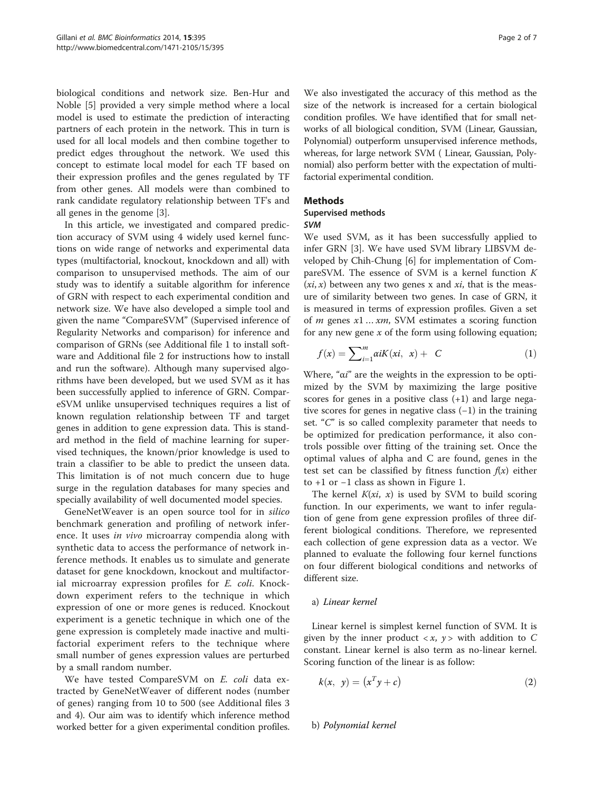biological conditions and network size. Ben-Hur and Noble [\[5](#page-6-0)] provided a very simple method where a local model is used to estimate the prediction of interacting partners of each protein in the network. This in turn is used for all local models and then combine together to predict edges throughout the network. We used this concept to estimate local model for each TF based on their expression profiles and the genes regulated by TF from other genes. All models were than combined to rank candidate regulatory relationship between TF's and all genes in the genome [[3\]](#page-6-0).

In this article, we investigated and compared prediction accuracy of SVM using 4 widely used kernel functions on wide range of networks and experimental data types (multifactorial, knockout, knockdown and all) with comparison to unsupervised methods. The aim of our study was to identify a suitable algorithm for inference of GRN with respect to each experimental condition and network size. We have also developed a simple tool and given the name "CompareSVM" (Supervised inference of Regularity Networks and comparison) for inference and comparison of GRNs (see Additional file [1](#page-6-0) to install software and Additional file [2](#page-6-0) for instructions how to install and run the software). Although many supervised algorithms have been developed, but we used SVM as it has been successfully applied to inference of GRN. CompareSVM unlike unsupervised techniques requires a list of known regulation relationship between TF and target genes in addition to gene expression data. This is standard method in the field of machine learning for supervised techniques, the known/prior knowledge is used to train a classifier to be able to predict the unseen data. This limitation is of not much concern due to huge surge in the regulation databases for many species and specially availability of well documented model species.

GeneNetWeaver is an open source tool for in silico benchmark generation and profiling of network inference. It uses in vivo microarray compendia along with synthetic data to access the performance of network inference methods. It enables us to simulate and generate dataset for gene knockdown, knockout and multifactorial microarray expression profiles for *E. coli*. Knockdown experiment refers to the technique in which expression of one or more genes is reduced. Knockout experiment is a genetic technique in which one of the gene expression is completely made inactive and multifactorial experiment refers to the technique where small number of genes expression values are perturbed by a small random number.

We have tested CompareSVM on E. coli data extracted by GeneNetWeaver of different nodes (number of genes) ranging from 10 to 500 (see Additional files [3](#page-6-0) and [4](#page-6-0)). Our aim was to identify which inference method worked better for a given experimental condition profiles.

We also investigated the accuracy of this method as the size of the network is increased for a certain biological condition profiles. We have identified that for small networks of all biological condition, SVM (Linear, Gaussian, Polynomial) outperform unsupervised inference methods, whereas, for large network SVM ( Linear, Gaussian, Polynomial) also perform better with the expectation of multifactorial experimental condition.

# **Methods**

#### Supervised methods SVM

We used SVM, as it has been successfully applied to infer GRN [[3\]](#page-6-0). We have used SVM library LIBSVM developed by Chih-Chung [\[6](#page-6-0)] for implementation of CompareSVM. The essence of SVM is a kernel function  $K$  $(x_i, x)$  between any two genes x and  $xi$ , that is the measure of similarity between two genes. In case of GRN, it is measured in terms of expression profiles. Given a set of *m* genes  $x1...$   $xm$ , SVM estimates a scoring function for any new gene  $x$  of the form using following equation;

$$
f(x) = \sum_{i=1}^{m} \alpha i K(xi, x) + C \tag{1}
$$

Where, "αi" are the weights in the expression to be optimized by the SVM by maximizing the large positive scores for genes in a positive class  $(+1)$  and large negative scores for genes in negative class (−1) in the training set. "C" is so called complexity parameter that needs to be optimized for predication performance, it also controls possible over fitting of the training set. Once the optimal values of alpha and C are found, genes in the test set can be classified by fitness function  $f(x)$  either to +1 or −1 class as shown in Figure [1.](#page-2-0)

The kernel  $K(x_i, x)$  is used by SVM to build scoring function. In our experiments, we want to infer regulation of gene from gene expression profiles of three different biological conditions. Therefore, we represented each collection of gene expression data as a vector. We planned to evaluate the following four kernel functions on four different biological conditions and networks of different size.

## a) Linear kernel

Linear kernel is simplest kernel function of SVM. It is given by the inner product  $\langle x, y \rangle$  with addition to C constant. Linear kernel is also term as no-linear kernel. Scoring function of the linear is as follow:

$$
k(x, y) = (xTy + c)
$$
 (2)

## b) Polynomial kernel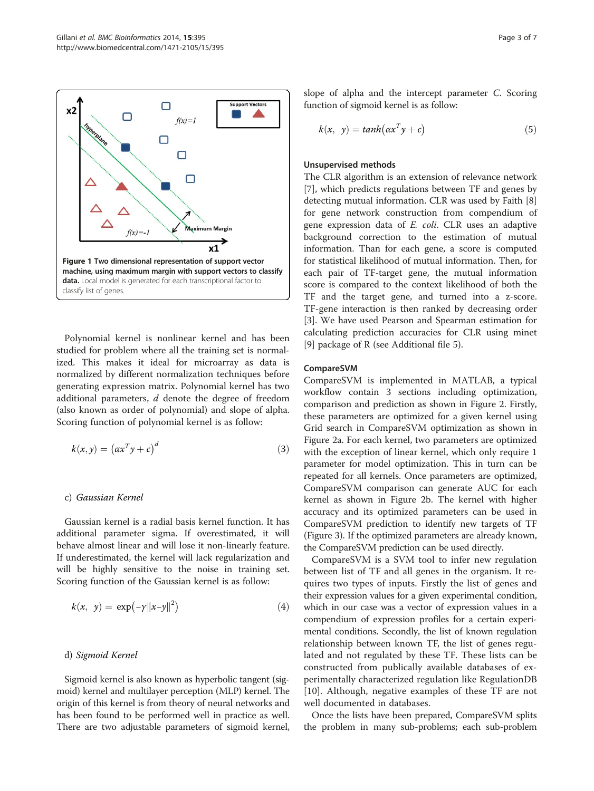<span id="page-2-0"></span>

Polynomial kernel is nonlinear kernel and has been studied for problem where all the training set is normalized. This makes it ideal for microarray as data is normalized by different normalization techniques before generating expression matrix. Polynomial kernel has two additional parameters, d denote the degree of freedom (also known as order of polynomial) and slope of alpha. Scoring function of polynomial kernel is as follow:

$$
k(x, y) = (axTy + c)d
$$
 (3)

#### c) Gaussian Kernel

Gaussian kernel is a radial basis kernel function. It has additional parameter sigma. If overestimated, it will behave almost linear and will lose it non-linearly feature. If underestimated, the kernel will lack regularization and will be highly sensitive to the noise in training set. Scoring function of the Gaussian kernel is as follow:

$$
k(x, y) = \exp(-y||x-y||^2)
$$
 (4)

#### d) Sigmoid Kernel

Sigmoid kernel is also known as hyperbolic tangent (sigmoid) kernel and multilayer perception (MLP) kernel. The origin of this kernel is from theory of neural networks and has been found to be performed well in practice as well. There are two adjustable parameters of sigmoid kernel, slope of alpha and the intercept parameter C. Scoring function of sigmoid kernel is as follow:

$$
k(x, y) = \tanh(\alpha x^T y + c)
$$
\n(5)

#### Unsupervised methods

The CLR algorithm is an extension of relevance network [[7\]](#page-6-0), which predicts regulations between TF and genes by detecting mutual information. CLR was used by Faith [\[8](#page-6-0)] for gene network construction from compendium of gene expression data of E. coli. CLR uses an adaptive background correction to the estimation of mutual information. Than for each gene, a score is computed for statistical likelihood of mutual information. Then, for each pair of TF-target gene, the mutual information score is compared to the context likelihood of both the TF and the target gene, and turned into a z-score. TF-gene interaction is then ranked by decreasing order [[3\]](#page-6-0). We have used Pearson and Spearman estimation for calculating prediction accuracies for CLR using minet [[9\]](#page-6-0) package of R (see Additional file [5](#page-6-0)).

#### CompareSVM

CompareSVM is implemented in MATLAB, a typical workflow contain 3 sections including optimization, comparison and prediction as shown in Figure [2.](#page-3-0) Firstly, these parameters are optimized for a given kernel using Grid search in CompareSVM optimization as shown in Figure [2](#page-3-0)a. For each kernel, two parameters are optimized with the exception of linear kernel, which only require 1 parameter for model optimization. This in turn can be repeated for all kernels. Once parameters are optimized, CompareSVM comparison can generate AUC for each kernel as shown in Figure [2](#page-3-0)b. The kernel with higher accuracy and its optimized parameters can be used in CompareSVM prediction to identify new targets of TF (Figure [3\)](#page-4-0). If the optimized parameters are already known, the CompareSVM prediction can be used directly.

CompareSVM is a SVM tool to infer new regulation between list of TF and all genes in the organism. It requires two types of inputs. Firstly the list of genes and their expression values for a given experimental condition, which in our case was a vector of expression values in a compendium of expression profiles for a certain experimental conditions. Secondly, the list of known regulation relationship between known TF, the list of genes regulated and not regulated by these TF. These lists can be constructed from publically available databases of experimentally characterized regulation like RegulationDB [[10\]](#page-6-0). Although, negative examples of these TF are not well documented in databases.

Once the lists have been prepared, CompareSVM splits the problem in many sub-problems; each sub-problem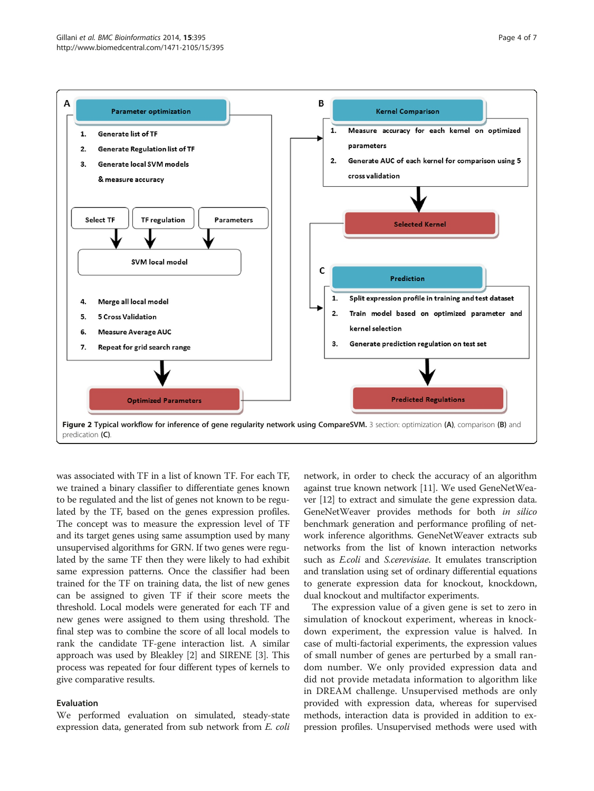<span id="page-3-0"></span>

was associated with TF in a list of known TF. For each TF, we trained a binary classifier to differentiate genes known to be regulated and the list of genes not known to be regulated by the TF, based on the genes expression profiles. The concept was to measure the expression level of TF and its target genes using same assumption used by many unsupervised algorithms for GRN. If two genes were regulated by the same TF then they were likely to had exhibit same expression patterns. Once the classifier had been trained for the TF on training data, the list of new genes can be assigned to given TF if their score meets the threshold. Local models were generated for each TF and new genes were assigned to them using threshold. The final step was to combine the score of all local models to rank the candidate TF-gene interaction list. A similar approach was used by Bleakley [\[2](#page-6-0)] and SIRENE [\[3](#page-6-0)]. This process was repeated for four different types of kernels to give comparative results.

#### Evaluation

We performed evaluation on simulated, steady-state expression data, generated from sub network from E. coli network, in order to check the accuracy of an algorithm against true known network [\[11\]](#page-6-0). We used GeneNetWeaver [\[12](#page-6-0)] to extract and simulate the gene expression data. GeneNetWeaver provides methods for both in silico benchmark generation and performance profiling of network inference algorithms. GeneNetWeaver extracts sub networks from the list of known interaction networks such as E.coli and S.cerevisiae. It emulates transcription and translation using set of ordinary differential equations to generate expression data for knockout, knockdown, dual knockout and multifactor experiments.

The expression value of a given gene is set to zero in simulation of knockout experiment, whereas in knockdown experiment, the expression value is halved. In case of multi-factorial experiments, the expression values of small number of genes are perturbed by a small random number. We only provided expression data and did not provide metadata information to algorithm like in DREAM challenge. Unsupervised methods are only provided with expression data, whereas for supervised methods, interaction data is provided in addition to expression profiles. Unsupervised methods were used with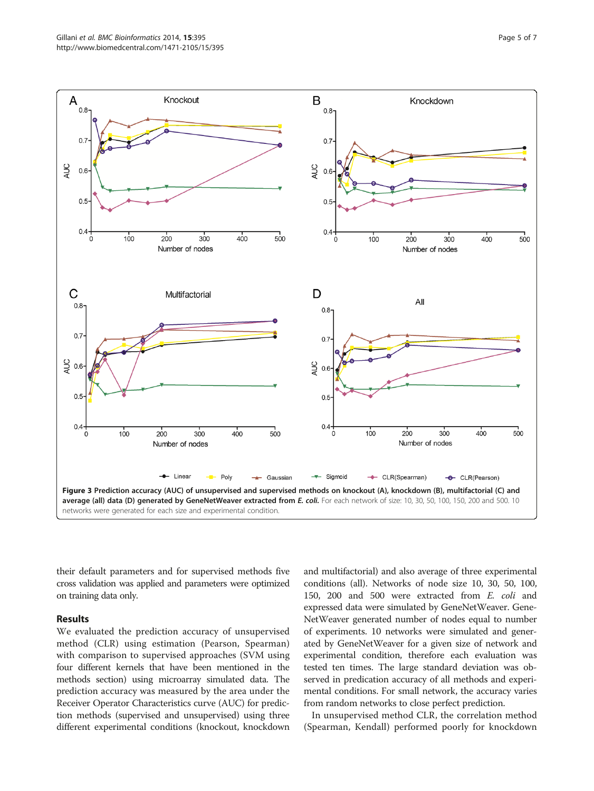<span id="page-4-0"></span>

their default parameters and for supervised methods five cross validation was applied and parameters were optimized on training data only.

#### Results

We evaluated the prediction accuracy of unsupervised method (CLR) using estimation (Pearson, Spearman) with comparison to supervised approaches (SVM using four different kernels that have been mentioned in the methods section) using microarray simulated data. The prediction accuracy was measured by the area under the Receiver Operator Characteristics curve (AUC) for prediction methods (supervised and unsupervised) using three different experimental conditions (knockout, knockdown

and multifactorial) and also average of three experimental conditions (all). Networks of node size 10, 30, 50, 100, 150, 200 and 500 were extracted from E. coli and expressed data were simulated by GeneNetWeaver. Gene-NetWeaver generated number of nodes equal to number of experiments. 10 networks were simulated and generated by GeneNetWeaver for a given size of network and experimental condition, therefore each evaluation was tested ten times. The large standard deviation was observed in predication accuracy of all methods and experimental conditions. For small network, the accuracy varies from random networks to close perfect prediction.

In unsupervised method CLR, the correlation method (Spearman, Kendall) performed poorly for knockdown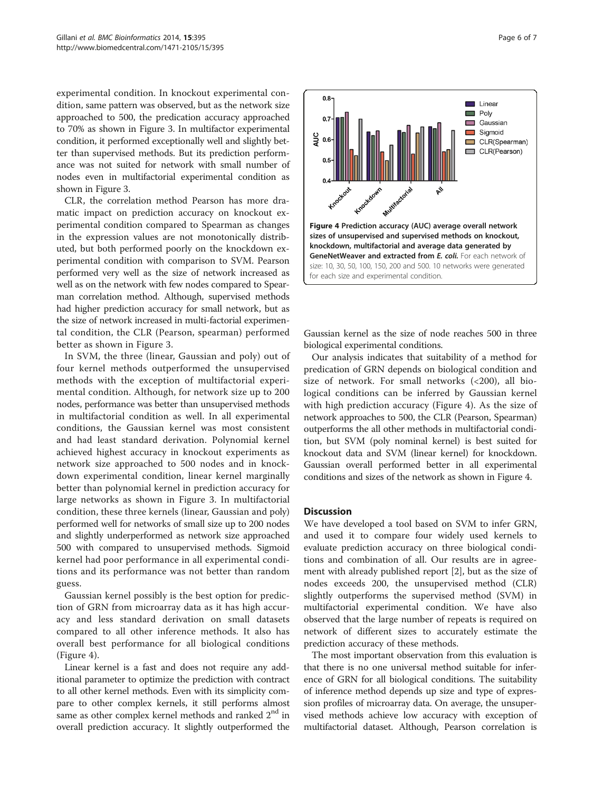experimental condition. In knockout experimental condition, same pattern was observed, but as the network size approached to 500, the predication accuracy approached to 70% as shown in Figure [3](#page-4-0). In multifactor experimental condition, it performed exceptionally well and slightly better than supervised methods. But its prediction performance was not suited for network with small number of nodes even in multifactorial experimental condition as shown in Figure [3.](#page-4-0)

CLR, the correlation method Pearson has more dramatic impact on prediction accuracy on knockout experimental condition compared to Spearman as changes in the expression values are not monotonically distributed, but both performed poorly on the knockdown experimental condition with comparison to SVM. Pearson performed very well as the size of network increased as well as on the network with few nodes compared to Spearman correlation method. Although, supervised methods had higher prediction accuracy for small network, but as the size of network increased in multi-factorial experimental condition, the CLR (Pearson, spearman) performed better as shown in Figure [3](#page-4-0).

In SVM, the three (linear, Gaussian and poly) out of four kernel methods outperformed the unsupervised methods with the exception of multifactorial experimental condition. Although, for network size up to 200 nodes, performance was better than unsupervised methods in multifactorial condition as well. In all experimental conditions, the Gaussian kernel was most consistent and had least standard derivation. Polynomial kernel achieved highest accuracy in knockout experiments as network size approached to 500 nodes and in knockdown experimental condition, linear kernel marginally better than polynomial kernel in prediction accuracy for large networks as shown in Figure [3](#page-4-0). In multifactorial condition, these three kernels (linear, Gaussian and poly) performed well for networks of small size up to 200 nodes and slightly underperformed as network size approached 500 with compared to unsupervised methods. Sigmoid kernel had poor performance in all experimental conditions and its performance was not better than random guess.

Gaussian kernel possibly is the best option for prediction of GRN from microarray data as it has high accuracy and less standard derivation on small datasets compared to all other inference methods. It also has overall best performance for all biological conditions (Figure 4).

Linear kernel is a fast and does not require any additional parameter to optimize the prediction with contract to all other kernel methods. Even with its simplicity compare to other complex kernels, it still performs almost same as other complex kernel methods and ranked  $2<sup>nd</sup>$  in overall prediction accuracy. It slightly outperformed the



Gaussian kernel as the size of node reaches 500 in three biological experimental conditions.

Our analysis indicates that suitability of a method for predication of GRN depends on biological condition and size of network. For small networks  $( $200$ ), all bio$ logical conditions can be inferred by Gaussian kernel with high prediction accuracy (Figure 4). As the size of network approaches to 500, the CLR (Pearson, Spearman) outperforms the all other methods in multifactorial condition, but SVM (poly nominal kernel) is best suited for knockout data and SVM (linear kernel) for knockdown. Gaussian overall performed better in all experimental conditions and sizes of the network as shown in Figure 4.

#### **Discussion**

We have developed a tool based on SVM to infer GRN, and used it to compare four widely used kernels to evaluate prediction accuracy on three biological conditions and combination of all. Our results are in agreement with already published report [[2\]](#page-6-0), but as the size of nodes exceeds 200, the unsupervised method (CLR) slightly outperforms the supervised method (SVM) in multifactorial experimental condition. We have also observed that the large number of repeats is required on network of different sizes to accurately estimate the prediction accuracy of these methods.

The most important observation from this evaluation is that there is no one universal method suitable for inference of GRN for all biological conditions. The suitability of inference method depends up size and type of expression profiles of microarray data. On average, the unsupervised methods achieve low accuracy with exception of multifactorial dataset. Although, Pearson correlation is